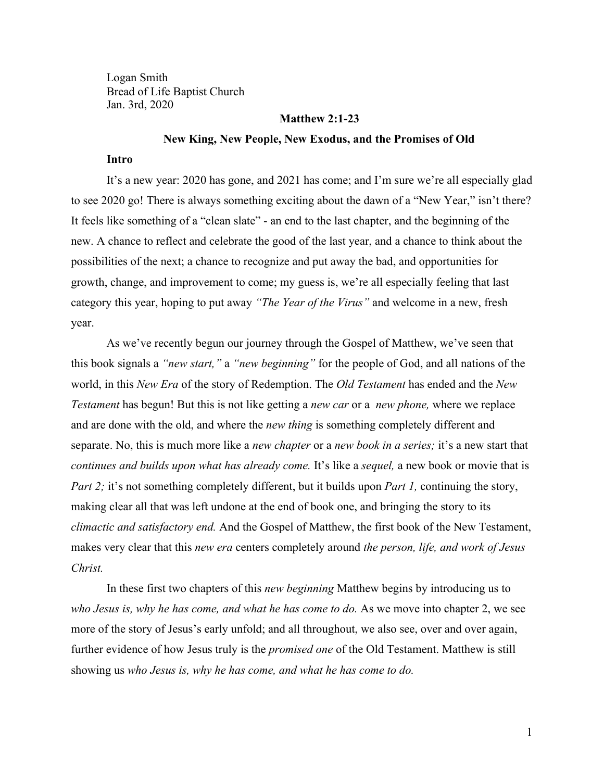Logan Smith Bread of Life Baptist Church Jan. 3rd, 2020

### **Matthew 2:1-23**

#### **New King, New People, New Exodus, and the Promises of Old**

## **Intro**

It's a new year: 2020 has gone, and 2021 has come; and I'm sure we're all especially glad to see 2020 go! There is always something exciting about the dawn of a "New Year," isn't there? It feels like something of a "clean slate" - an end to the last chapter, and the beginning of the new. A chance to reflect and celebrate the good of the last year, and a chance to think about the possibilities of the next; a chance to recognize and put away the bad, and opportunities for growth, change, and improvement to come; my guess is, we're all especially feeling that last category this year, hoping to put away *"The Year of the Virus"* and welcome in a new, fresh year.

As we've recently begun our journey through the Gospel of Matthew, we've seen that this book signals a *"new start,"* a *"new beginning"* for the people of God, and all nations of the world, in this *New Era* of the story of Redemption. The *Old Testament* has ended and the *New Testament* has begun! But this is not like getting a *new car* or a *new phone,* where we replace and are done with the old, and where the *new thing* is something completely different and separate. No, this is much more like a *new chapter* or a *new book in a series;* it's a new start that *continues and builds upon what has already come.* It's like a *sequel*, a new book or movie that is *Part 2;* it's not something completely different, but it builds upon *Part 1*, continuing the story, making clear all that was left undone at the end of book one, and bringing the story to its *climactic and satisfactory end.* And the Gospel of Matthew, the first book of the New Testament, makes very clear that this *new era* centers completely around *the person, life, and work of Jesus Christ.*

In these first two chapters of this *new beginning* Matthew begins by introducing us to *who Jesus is, why he has come, and what he has come to do.* As we move into chapter 2, we see more of the story of Jesus's early unfold; and all throughout, we also see, over and over again, further evidence of how Jesus truly is the *promised one* of the Old Testament. Matthew is still showing us *who Jesus is, why he has come, and what he has come to do.*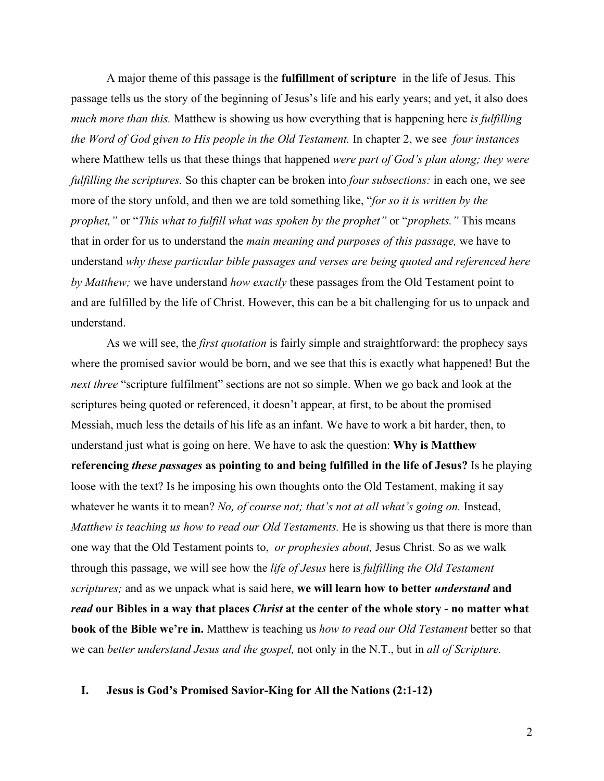A major theme of this passage is the **fulfillment of scripture** in the life of Jesus. This passage tells us the story of the beginning of Jesus's life and his early years; and yet, it also does *much more than this.* Matthew is showing us how everything that is happening here *is fulfilling the Word of God given to His people in the Old Testament.* In chapter 2, we see *four instances* where Matthew tells us that these things that happened *were part of God's plan along; they were fulfilling the scriptures.* So this chapter can be broken into *four subsections:* in each one, we see more of the story unfold, and then we are told something like, "*for so it is written by the prophet,"* or "*This what to fulfill what was spoken by the prophet"* or "*prophets."* This means that in order for us to understand the *main meaning and purposes of this passage,* we have to understand *why these particular bible passages and verses are being quoted and referenced here by Matthew;* we have understand *how exactly* these passages from the Old Testament point to and are fulfilled by the life of Christ. However, this can be a bit challenging for us to unpack and understand.

As we will see, the *first quotation* is fairly simple and straightforward: the prophecy says where the promised savior would be born, and we see that this is exactly what happened! But the *next three* "scripture fulfilment" sections are not so simple. When we go back and look at the scriptures being quoted or referenced, it doesn't appear, at first, to be about the promised Messiah, much less the details of his life as an infant. We have to work a bit harder, then, to understand just what is going on here. We have to ask the question: **Why is Matthew referencing** *these passages* **as pointing to and being fulfilled in the life of Jesus?** Is he playing loose with the text? Is he imposing his own thoughts onto the Old Testament, making it say whatever he wants it to mean? *No, of course not; that's not at all what's going on.* Instead, *Matthew is teaching us how to read our Old Testaments.* He is showing us that there is more than one way that the Old Testament points to, *or prophesies about,* Jesus Christ. So as we walk through this passage, we will see how the *life of Jesus* here is *fulfilling the Old Testament scriptures;* and as we unpack what is said here, **we will learn how to better** *understand* **and** *read* **our Bibles in a way that places** *Christ* **at the center of the whole story - no matter what book of the Bible we're in.** Matthew is teaching us *how to read our Old Testament* better so that we can *better understand Jesus and the gospel,* not only in the N.T., but in *all of Scripture.*

#### **I. Jesus is God's Promised Savior-King for All the Nations (2:1-12)**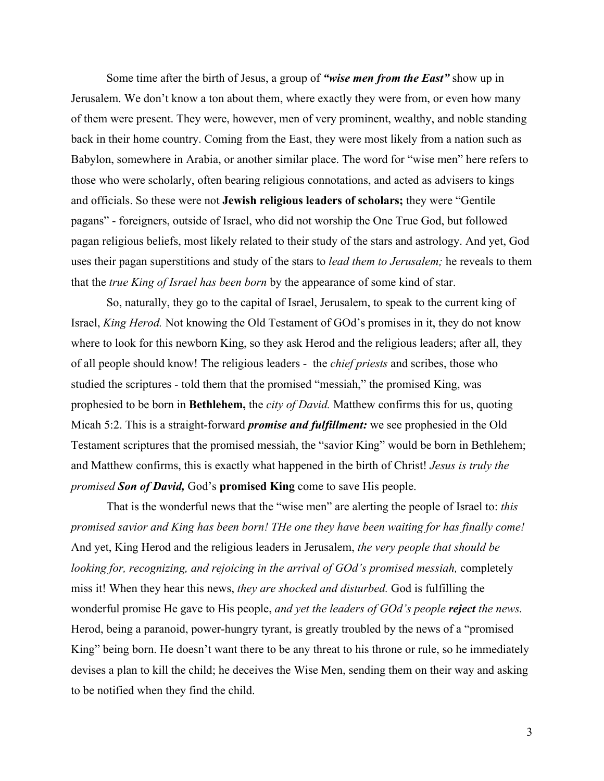Some time after the birth of Jesus, a group of *"wise men from the East"* show up in Jerusalem. We don't know a ton about them, where exactly they were from, or even how many of them were present. They were, however, men of very prominent, wealthy, and noble standing back in their home country. Coming from the East, they were most likely from a nation such as Babylon, somewhere in Arabia, or another similar place. The word for "wise men" here refers to those who were scholarly, often bearing religious connotations, and acted as advisers to kings and officials. So these were not **Jewish religious leaders of scholars;** they were "Gentile pagans" - foreigners, outside of Israel, who did not worship the One True God, but followed pagan religious beliefs, most likely related to their study of the stars and astrology. And yet, God uses their pagan superstitions and study of the stars to *lead them to Jerusalem;* he reveals to them that the *true King of Israel has been born* by the appearance of some kind of star.

So, naturally, they go to the capital of Israel, Jerusalem, to speak to the current king of Israel, *King Herod.* Not knowing the Old Testament of GOd's promises in it, they do not know where to look for this newborn King, so they ask Herod and the religious leaders; after all, they of all people should know! The religious leaders - the *chief priests* and scribes, those who studied the scriptures - told them that the promised "messiah," the promised King, was prophesied to be born in **Bethlehem,** the *city of David.* Matthew confirms this for us, quoting Micah 5:2. This is a straight-forward *promise and fulfillment:* we see prophesied in the Old Testament scriptures that the promised messiah, the "savior King" would be born in Bethlehem; and Matthew confirms, this is exactly what happened in the birth of Christ! *Jesus is truly the promised Son of David,* God's **promised King** come to save His people.

That is the wonderful news that the "wise men" are alerting the people of Israel to: *this promised savior and King has been born! THe one they have been waiting for has finally come!* And yet, King Herod and the religious leaders in Jerusalem, *the very people that should be looking for, recognizing, and rejoicing in the arrival of GOd's promised messiah,* completely miss it! When they hear this news, *they are shocked and disturbed.* God is fulfilling the wonderful promise He gave to His people, *and yet the leaders of GOd's people reject the news.* Herod, being a paranoid, power-hungry tyrant, is greatly troubled by the news of a "promised King" being born. He doesn't want there to be any threat to his throne or rule, so he immediately devises a plan to kill the child; he deceives the Wise Men, sending them on their way and asking to be notified when they find the child.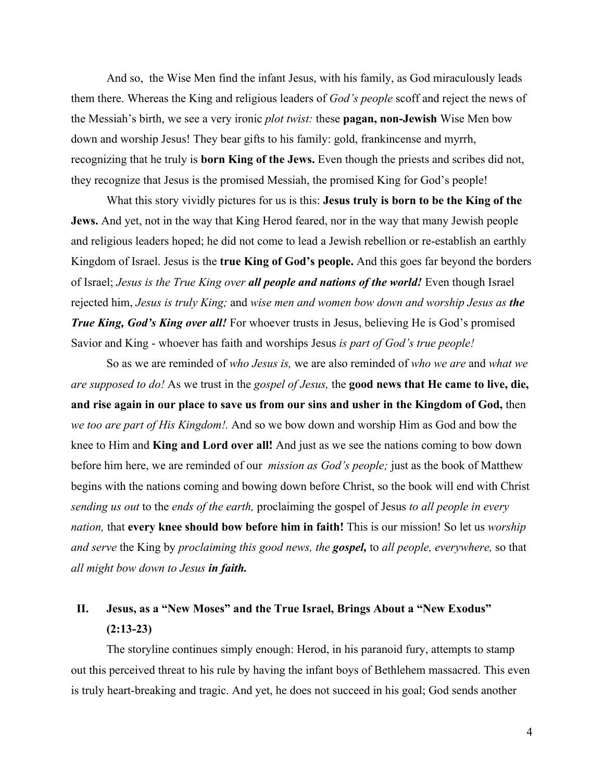And so, the Wise Men find the infant Jesus, with his family, as God miraculously leads them there. Whereas the King and religious leaders of *God's people* scoff and reject the news of the Messiah's birth, we see a very ironic *plot twist:* these **pagan, non-Jewish** Wise Men bow down and worship Jesus! They bear gifts to his family: gold, frankincense and myrrh, recognizing that he truly is **born King of the Jews.** Even though the priests and scribes did not, they recognize that Jesus is the promised Messiah, the promised King for God's people!

What this story vividly pictures for us is this: **Jesus truly is born to be the King of the Jews.** And yet, not in the way that King Herod feared, nor in the way that many Jewish people and religious leaders hoped; he did not come to lead a Jewish rebellion or re-establish an earthly Kingdom of Israel. Jesus is the **true King of God's people.** And this goes far beyond the borders of Israel; *Jesus is the True King over all people and nations of the world!* Even though Israel rejected him, *Jesus is truly King;* and *wise men and women bow down and worship Jesus as the True King, God's King over all!* For whoever trusts in Jesus, believing He is God's promised Savior and King - whoever has faith and worships Jesus *is part of God's true people!*

So as we are reminded of *who Jesus is,* we are also reminded of *who we are* and *what we are supposed to do!* As we trust in the *gospel of Jesus,* the **good news that He came to live, die, and rise again in our place to save us from our sins and usher in the Kingdom of God,** then *we too are part of His Kingdom!.* And so we bow down and worship Him as God and bow the knee to Him and **King and Lord over all!** And just as we see the nations coming to bow down before him here, we are reminded of our *mission as God's people;* just as the book of Matthew begins with the nations coming and bowing down before Christ, so the book will end with Christ *sending us out* to the *ends of the earth,* proclaiming the gospel of Jesus *to all people in every nation,* that **every knee should bow before him in faith!** This is our mission! So let us *worship and serve* the King by *proclaiming this good news, the gospel,* to *all people, everywhere,* so that *all might bow down to Jesus in faith.*

# **II. Jesus, as a "New Moses" and the True Israel, Brings About a "New Exodus" (2:13-23)**

The storyline continues simply enough: Herod, in his paranoid fury, attempts to stamp out this perceived threat to his rule by having the infant boys of Bethlehem massacred. This even is truly heart-breaking and tragic. And yet, he does not succeed in his goal; God sends another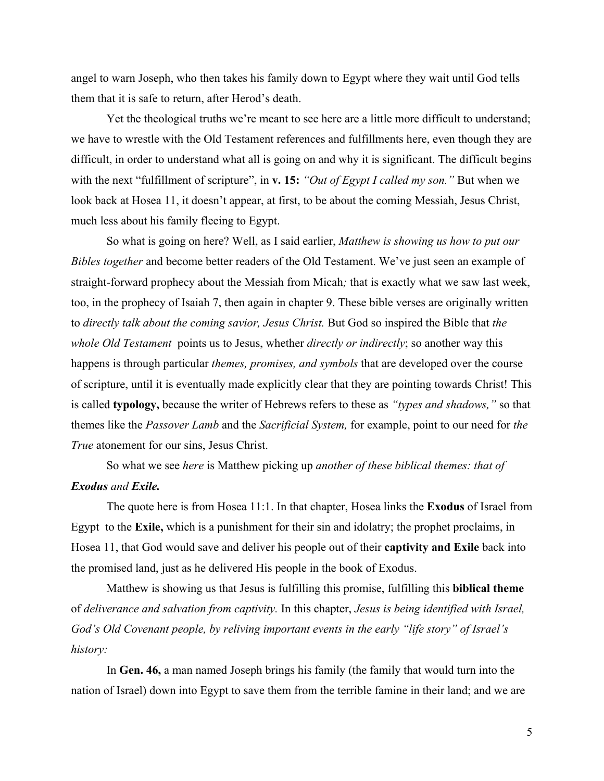angel to warn Joseph, who then takes his family down to Egypt where they wait until God tells them that it is safe to return, after Herod's death.

Yet the theological truths we're meant to see here are a little more difficult to understand; we have to wrestle with the Old Testament references and fulfillments here, even though they are difficult, in order to understand what all is going on and why it is significant. The difficult begins with the next "fulfillment of scripture", in **v. 15:** "Out of Egypt I called my son." But when we look back at Hosea 11, it doesn't appear, at first, to be about the coming Messiah, Jesus Christ, much less about his family fleeing to Egypt.

So what is going on here? Well, as I said earlier, *Matthew is showing us how to put our Bibles together* and become better readers of the Old Testament. We've just seen an example of straight-forward prophecy about the Messiah from Micah*;* that is exactly what we saw last week, too, in the prophecy of Isaiah 7, then again in chapter 9. These bible verses are originally written to *directly talk about the coming savior, Jesus Christ.* But God so inspired the Bible that *the whole Old Testament* points us to Jesus, whether *directly or indirectly*; so another way this happens is through particular *themes, promises, and symbols* that are developed over the course of scripture, until it is eventually made explicitly clear that they are pointing towards Christ! This is called **typology,** because the writer of Hebrews refers to these as *"types and shadows,"* so that themes like the *Passover Lamb* and the *Sacrificial System,* for example, point to our need for *the True* atonement for our sins, Jesus Christ.

So what we see *here* is Matthew picking up *another of these biblical themes: that of Exodus and Exile.*

The quote here is from Hosea 11:1. In that chapter, Hosea links the **Exodus** of Israel from Egypt to the **Exile,** which is a punishment for their sin and idolatry; the prophet proclaims, in Hosea 11, that God would save and deliver his people out of their **captivity and Exile** back into the promised land, just as he delivered His people in the book of Exodus.

Matthew is showing us that Jesus is fulfilling this promise, fulfilling this **biblical theme** of *deliverance and salvation from captivity.* In this chapter, *Jesus is being identified with Israel, God's Old Covenant people, by reliving important events in the early "life story" of Israel's history:*

In **Gen. 46,** a man named Joseph brings his family (the family that would turn into the nation of Israel) down into Egypt to save them from the terrible famine in their land; and we are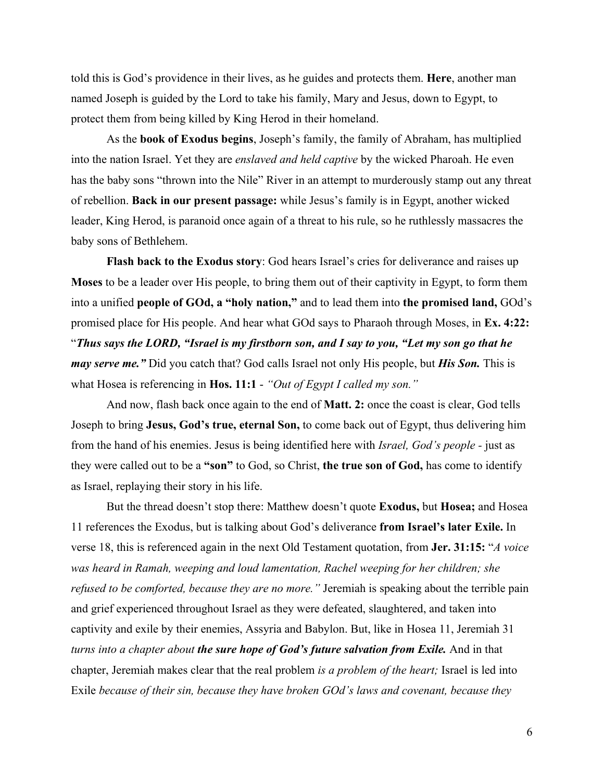told this is God's providence in their lives, as he guides and protects them. **Here**, another man named Joseph is guided by the Lord to take his family, Mary and Jesus, down to Egypt, to protect them from being killed by King Herod in their homeland.

As the **book of Exodus begins**, Joseph's family, the family of Abraham, has multiplied into the nation Israel. Yet they are *enslaved and held captive* by the wicked Pharoah. He even has the baby sons "thrown into the Nile" River in an attempt to murderously stamp out any threat of rebellion. **Back in our present passage:** while Jesus's family is in Egypt, another wicked leader, King Herod, is paranoid once again of a threat to his rule, so he ruthlessly massacres the baby sons of Bethlehem.

**Flash back to the Exodus story**: God hears Israel's cries for deliverance and raises up **Moses** to be a leader over His people, to bring them out of their captivity in Egypt, to form them into a unified **people of GOd, a "holy nation,"** and to lead them into **the promised land,** GOd's promised place for His people. And hear what GOd says to Pharaoh through Moses, in **Ex. 4:22:** "*Thus says the LORD, "Israel is my firstborn son, and I say to you, "Let my son go that he may serve me."* Did you catch that? God calls Israel not only His people, but *His Son.* This is what Hosea is referencing in **Hos. 11:1** - *"Out of Egypt I called my son."*

And now, flash back once again to the end of **Matt. 2:** once the coast is clear, God tells Joseph to bring **Jesus, God's true, eternal Son,** to come back out of Egypt, thus delivering him from the hand of his enemies. Jesus is being identified here with *Israel, God's people -* just as they were called out to be a **"son"** to God, so Christ, **the true son of God,** has come to identify as Israel, replaying their story in his life.

But the thread doesn't stop there: Matthew doesn't quote **Exodus,** but **Hosea;** and Hosea 11 references the Exodus, but is talking about God's deliverance **from Israel's later Exile.** In verse 18, this is referenced again in the next Old Testament quotation, from **Jer. 31:15:** "*A voice was heard in Ramah, weeping and loud lamentation, Rachel weeping for her children; she refused to be comforted, because they are no more."* Jeremiah is speaking about the terrible pain and grief experienced throughout Israel as they were defeated, slaughtered, and taken into captivity and exile by their enemies, Assyria and Babylon. But, like in Hosea 11, Jeremiah 31 *turns into a chapter about the sure hope of God's future salvation from Exile.* And in that chapter, Jeremiah makes clear that the real problem *is a problem of the heart;* Israel is led into Exile *because of their sin, because they have broken GOd's laws and covenant, because they*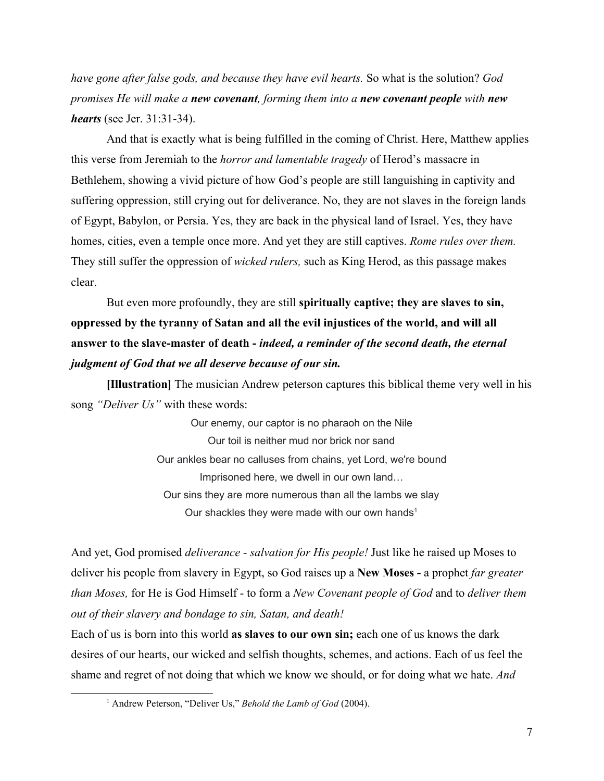*have gone after false gods, and because they have evil hearts.* So what is the solution? *God promises He will make a new covenant, forming them into a new covenant people with new hearts* (see Jer. 31:31-34).

And that is exactly what is being fulfilled in the coming of Christ. Here, Matthew applies this verse from Jeremiah to the *horror and lamentable tragedy* of Herod's massacre in Bethlehem, showing a vivid picture of how God's people are still languishing in captivity and suffering oppression, still crying out for deliverance. No, they are not slaves in the foreign lands of Egypt, Babylon, or Persia. Yes, they are back in the physical land of Israel. Yes, they have homes, cities, even a temple once more. And yet they are still captives. *Rome rules over them.* They still suffer the oppression of *wicked rulers,* such as King Herod, as this passage makes clear.

But even more profoundly, they are still **spiritually captive; they are slaves to sin, oppressed by the tyranny of Satan and all the evil injustices of the world, and will all answer to the slave-master of death -** *indeed, a reminder of the second death, the eternal judgment of God that we all deserve because of our sin.*

**[Illustration]** The musician Andrew peterson captures this biblical theme very well in his song *"Deliver Us"* with these words:

> Our enemy, our captor is no pharaoh on the Nile Our toil is neither mud nor brick nor sand Our ankles bear no calluses from chains, yet Lord, we're bound Imprisoned here, we dwell in our own land… Our sins they are more numerous than all the lambs we slay Our shackles they were made with our own hands<sup>1</sup>

And yet, God promised *deliverance - salvation for His people!* Just like he raised up Moses to deliver his people from slavery in Egypt, so God raises up a **New Moses -** a prophet *far greater than Moses,* for He is God Himself - to form a *New Covenant people of God* and to *deliver them out of their slavery and bondage to sin, Satan, and death!*

Each of us is born into this world **as slaves to our own sin;** each one of us knows the dark desires of our hearts, our wicked and selfish thoughts, schemes, and actions. Each of us feel the shame and regret of not doing that which we know we should, or for doing what we hate. *And*

<sup>1</sup> Andrew Peterson, "Deliver Us," *Behold the Lamb of God* (2004).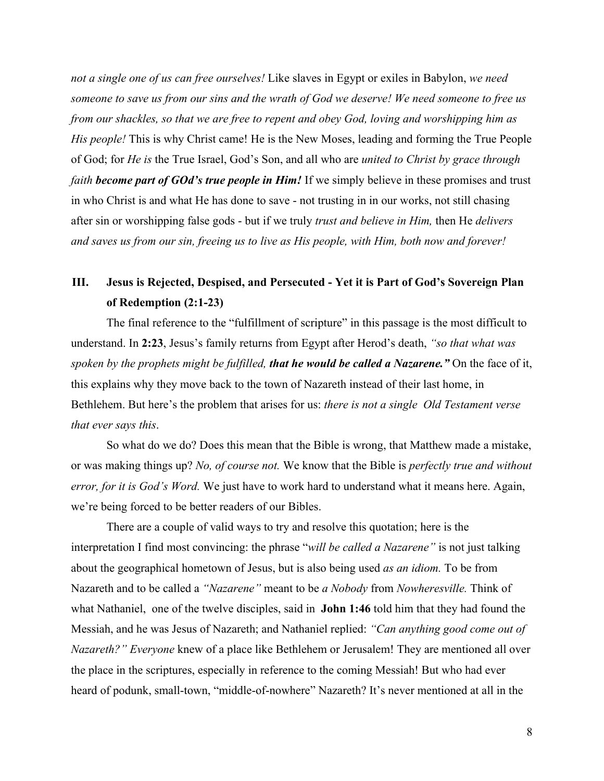*not a single one of us can free ourselves!* Like slaves in Egypt or exiles in Babylon, *we need someone to save us from our sins and the wrath of God we deserve! We need someone to free us from our shackles, so that we are free to repent and obey God, loving and worshipping him as His people!* This is why Christ came! He is the New Moses, leading and forming the True People of God; for *He is* the True Israel, God's Son, and all who are *united to Christ by grace through faith become part of GOd's true people in Him! If we simply believe in these promises and trust* in who Christ is and what He has done to save - not trusting in in our works, not still chasing after sin or worshipping false gods - but if we truly *trust and believe in Him,* then He *delivers and saves us from our sin, freeing us to live as His people, with Him, both now and forever!*

# **III. Jesus is Rejected, Despised, and Persecuted - Yet it is Part of God's Sovereign Plan of Redemption (2:1-23)**

The final reference to the "fulfillment of scripture" in this passage is the most difficult to understand. In **2:23**, Jesus's family returns from Egypt after Herod's death, *"so that what was spoken by the prophets might be fulfilled, that he would be called a Nazarene."* On the face of it, this explains why they move back to the town of Nazareth instead of their last home, in Bethlehem. But here's the problem that arises for us: *there is not a single Old Testament verse that ever says this*.

So what do we do? Does this mean that the Bible is wrong, that Matthew made a mistake, or was making things up? *No, of course not.* We know that the Bible is *perfectly true and without error, for it is God's Word.* We just have to work hard to understand what it means here. Again, we're being forced to be better readers of our Bibles.

There are a couple of valid ways to try and resolve this quotation; here is the interpretation I find most convincing: the phrase "*will be called a Nazarene"* is not just talking about the geographical hometown of Jesus, but is also being used *as an idiom.* To be from Nazareth and to be called a *"Nazarene"* meant to be *a Nobody* from *Nowheresville.* Think of what Nathaniel, one of the twelve disciples, said in **John 1:46** told him that they had found the Messiah, and he was Jesus of Nazareth; and Nathaniel replied: *"Can anything good come out of Nazareth?" Everyone* knew of a place like Bethlehem or Jerusalem! They are mentioned all over the place in the scriptures, especially in reference to the coming Messiah! But who had ever heard of podunk, small-town, "middle-of-nowhere" Nazareth? It's never mentioned at all in the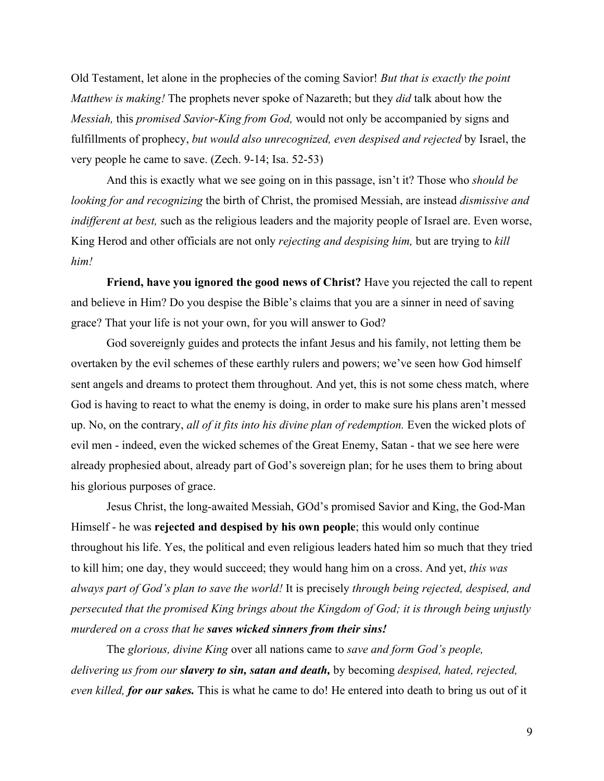Old Testament, let alone in the prophecies of the coming Savior! *But that is exactly the point Matthew is making!* The prophets never spoke of Nazareth; but they *did* talk about how the *Messiah,* this *promised Savior-King from God,* would not only be accompanied by signs and fulfillments of prophecy, *but would also unrecognized, even despised and rejected* by Israel, the very people he came to save. (Zech. 9-14; Isa. 52-53)

And this is exactly what we see going on in this passage, isn't it? Those who *should be looking for and recognizing* the birth of Christ, the promised Messiah, are instead *dismissive and indifferent at best,* such as the religious leaders and the majority people of Israel are. Even worse, King Herod and other officials are not only *rejecting and despising him,* but are trying to *kill him!*

**Friend, have you ignored the good news of Christ?** Have you rejected the call to repent and believe in Him? Do you despise the Bible's claims that you are a sinner in need of saving grace? That your life is not your own, for you will answer to God?

God sovereignly guides and protects the infant Jesus and his family, not letting them be overtaken by the evil schemes of these earthly rulers and powers; we've seen how God himself sent angels and dreams to protect them throughout. And yet, this is not some chess match, where God is having to react to what the enemy is doing, in order to make sure his plans aren't messed up. No, on the contrary, *all of it fits into his divine plan of redemption.* Even the wicked plots of evil men - indeed, even the wicked schemes of the Great Enemy, Satan - that we see here were already prophesied about, already part of God's sovereign plan; for he uses them to bring about his glorious purposes of grace.

Jesus Christ, the long-awaited Messiah, GOd's promised Savior and King, the God-Man Himself - he was **rejected and despised by his own people**; this would only continue throughout his life. Yes, the political and even religious leaders hated him so much that they tried to kill him; one day, they would succeed; they would hang him on a cross. And yet, *this was always part of God's plan to save the world!* It is precisely *through being rejected, despised, and persecuted that the promised King brings about the Kingdom of God; it is through being unjustly murdered on a cross that he saves wicked sinners from their sins!*

The *glorious, divine King* over all nations came to *save and form God's people, delivering us from our slavery to sin, satan and death,* by becoming *despised, hated, rejected, even killed, for our sakes.* This is what he came to do! He entered into death to bring us out of it